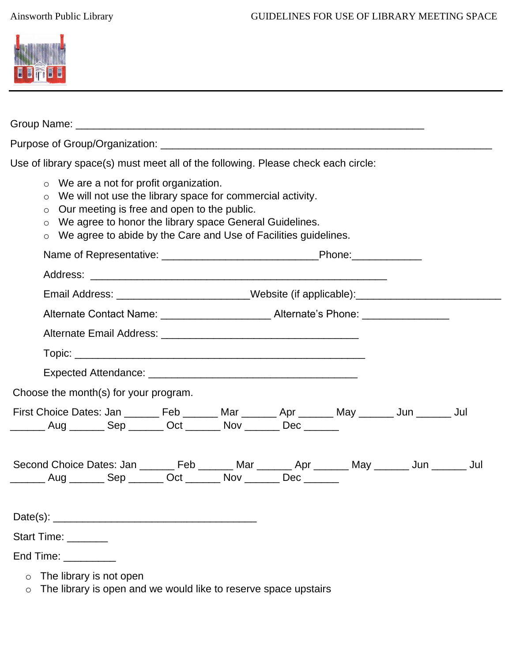

| Use of library space(s) must meet all of the following. Please check each circle: |                                                                                                                                                                                                                                                                                                                       |  |  |  |  |  |  |  |
|-----------------------------------------------------------------------------------|-----------------------------------------------------------------------------------------------------------------------------------------------------------------------------------------------------------------------------------------------------------------------------------------------------------------------|--|--|--|--|--|--|--|
|                                                                                   | $\circ$ We are a not for profit organization.<br>$\circ$ We will not use the library space for commercial activity.<br>$\circ$ Our meeting is free and open to the public.<br>We agree to honor the library space General Guidelines.<br>$\circ$<br>o We agree to abide by the Care and Use of Facilities guidelines. |  |  |  |  |  |  |  |
|                                                                                   |                                                                                                                                                                                                                                                                                                                       |  |  |  |  |  |  |  |
|                                                                                   |                                                                                                                                                                                                                                                                                                                       |  |  |  |  |  |  |  |
|                                                                                   | Email Address: ________________________Website (if applicable):_________________                                                                                                                                                                                                                                      |  |  |  |  |  |  |  |
|                                                                                   | Alternate Contact Name: ____________________________Alternate's Phone: ________________                                                                                                                                                                                                                               |  |  |  |  |  |  |  |
|                                                                                   |                                                                                                                                                                                                                                                                                                                       |  |  |  |  |  |  |  |
|                                                                                   |                                                                                                                                                                                                                                                                                                                       |  |  |  |  |  |  |  |
|                                                                                   |                                                                                                                                                                                                                                                                                                                       |  |  |  |  |  |  |  |
| Choose the month(s) for your program.                                             |                                                                                                                                                                                                                                                                                                                       |  |  |  |  |  |  |  |
|                                                                                   | First Choice Dates: Jan _______ Feb _______ Mar _______ Apr _______ May _______ Jun _______ Jul<br>_______ Aug _______ Sep _______ Oct _______ Nov _______ Dec ______                                                                                                                                                 |  |  |  |  |  |  |  |
|                                                                                   | Second Choice Dates: Jan ________ Feb _______ Mar _______ Apr _______ May _______ Jun _______ Jul<br>Aug _________ Sep ________ Oct ________ Nov ________ Dec _______                                                                                                                                                 |  |  |  |  |  |  |  |
|                                                                                   |                                                                                                                                                                                                                                                                                                                       |  |  |  |  |  |  |  |
|                                                                                   | Start Time: _______                                                                                                                                                                                                                                                                                                   |  |  |  |  |  |  |  |
|                                                                                   | End Time: _________                                                                                                                                                                                                                                                                                                   |  |  |  |  |  |  |  |
| $\circ$<br>$\circ$                                                                | The library is not open<br>The library is open and we would like to reserve space upstairs                                                                                                                                                                                                                            |  |  |  |  |  |  |  |